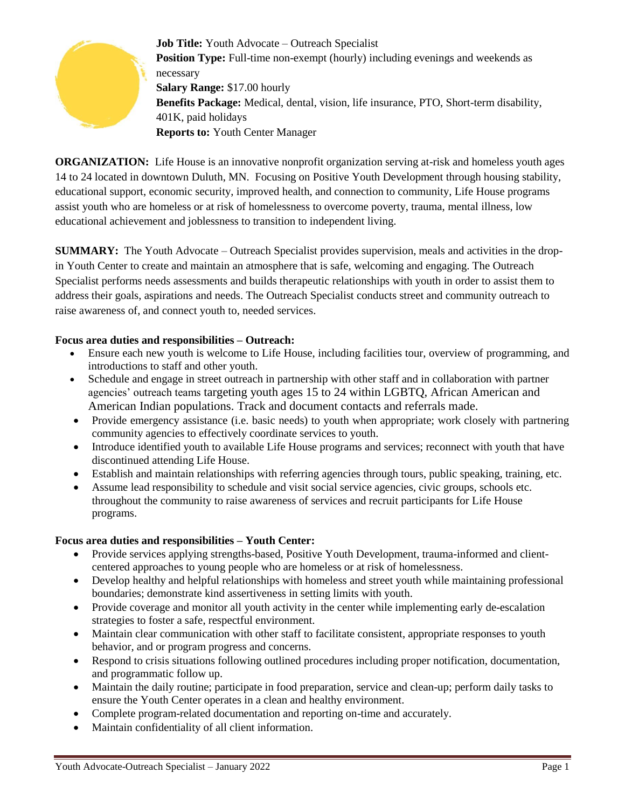

**Job Title:** Youth Advocate – Outreach Specialist **Position Type:** Full-time non-exempt (hourly) including evenings and weekends as necessary **Salary Range:** \$17.00 hourly **Benefits Package:** Medical, dental, vision, life insurance, PTO, Short-term disability, 401K, paid holidays **Reports to:** Youth Center Manager

**ORGANIZATION:** Life House is an innovative nonprofit organization serving at-risk and homeless youth ages 14 to 24 located in downtown Duluth, MN. Focusing on Positive Youth Development through housing stability, educational support, economic security, improved health, and connection to community, Life House programs assist youth who are homeless or at risk of homelessness to overcome poverty, trauma, mental illness, low educational achievement and joblessness to transition to independent living.

**SUMMARY:** The Youth Advocate – Outreach Specialist provides supervision, meals and activities in the dropin Youth Center to create and maintain an atmosphere that is safe, welcoming and engaging. The Outreach Specialist performs needs assessments and builds therapeutic relationships with youth in order to assist them to address their goals, aspirations and needs. The Outreach Specialist conducts street and community outreach to raise awareness of, and connect youth to, needed services.

# **Focus area duties and responsibilities – Outreach:**

- Ensure each new youth is welcome to Life House, including facilities tour, overview of programming, and introductions to staff and other youth.
- Schedule and engage in street outreach in partnership with other staff and in collaboration with partner agencies' outreach teams targeting youth ages 15 to 24 within LGBTQ, African American and American Indian populations. Track and document contacts and referrals made.
- Provide emergency assistance (i.e. basic needs) to youth when appropriate; work closely with partnering community agencies to effectively coordinate services to youth.
- Introduce identified youth to available Life House programs and services; reconnect with youth that have discontinued attending Life House.
- Establish and maintain relationships with referring agencies through tours, public speaking, training, etc.
- Assume lead responsibility to schedule and visit social service agencies, civic groups, schools etc. throughout the community to raise awareness of services and recruit participants for Life House programs.

# **Focus area duties and responsibilities – Youth Center:**

- Provide services applying strengths-based, Positive Youth Development, trauma-informed and clientcentered approaches to young people who are homeless or at risk of homelessness.
- Develop healthy and helpful relationships with homeless and street youth while maintaining professional boundaries; demonstrate kind assertiveness in setting limits with youth.
- Provide coverage and monitor all youth activity in the center while implementing early de-escalation strategies to foster a safe, respectful environment.
- Maintain clear communication with other staff to facilitate consistent, appropriate responses to youth behavior, and or program progress and concerns.
- Respond to crisis situations following outlined procedures including proper notification, documentation, and programmatic follow up.
- Maintain the daily routine; participate in food preparation, service and clean-up; perform daily tasks to ensure the Youth Center operates in a clean and healthy environment.
- Complete program-related documentation and reporting on-time and accurately.
- Maintain confidentiality of all client information.